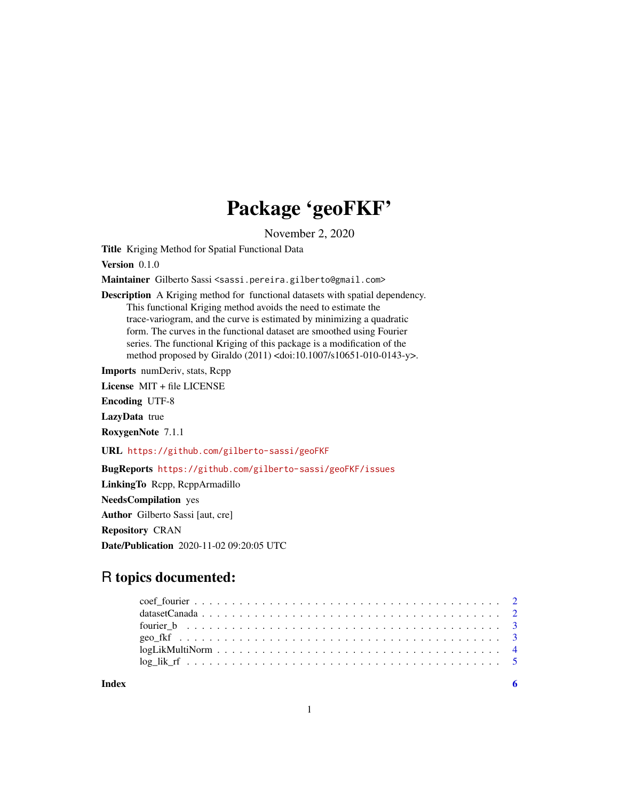# Package 'geoFKF'

November 2, 2020

Title Kriging Method for Spatial Functional Data

Version 0.1.0

Maintainer Gilberto Sassi <sassi.pereira.gilberto@gmail.com>

Description A Kriging method for functional datasets with spatial dependency. This functional Kriging method avoids the need to estimate the trace-variogram, and the curve is estimated by minimizing a quadratic form. The curves in the functional dataset are smoothed using Fourier series. The functional Kriging of this package is a modification of the method proposed by Giraldo (2011) <doi:10.1007/s10651-010-0143-y>.

Imports numDeriv, stats, Rcpp

License MIT + file LICENSE

Encoding UTF-8

LazyData true

RoxygenNote 7.1.1

URL <https://github.com/gilberto-sassi/geoFKF>

#### BugReports <https://github.com/gilberto-sassi/geoFKF/issues>

LinkingTo Rcpp, RcppArmadillo NeedsCompilation yes

Author Gilberto Sassi [aut, cre]

Repository CRAN

Date/Publication 2020-11-02 09:20:05 UTC

# R topics documented:

| $logLikMultiNorm \ldots \ldots \ldots \ldots \ldots \ldots \ldots \ldots \ldots \ldots \ldots$ |  |  |  |  |  |  |  |  |  |  |  |  |  |  |  |  |  |  |  |
|------------------------------------------------------------------------------------------------|--|--|--|--|--|--|--|--|--|--|--|--|--|--|--|--|--|--|--|
|                                                                                                |  |  |  |  |  |  |  |  |  |  |  |  |  |  |  |  |  |  |  |
|                                                                                                |  |  |  |  |  |  |  |  |  |  |  |  |  |  |  |  |  |  |  |

**Index** [6](#page-5-0) **6**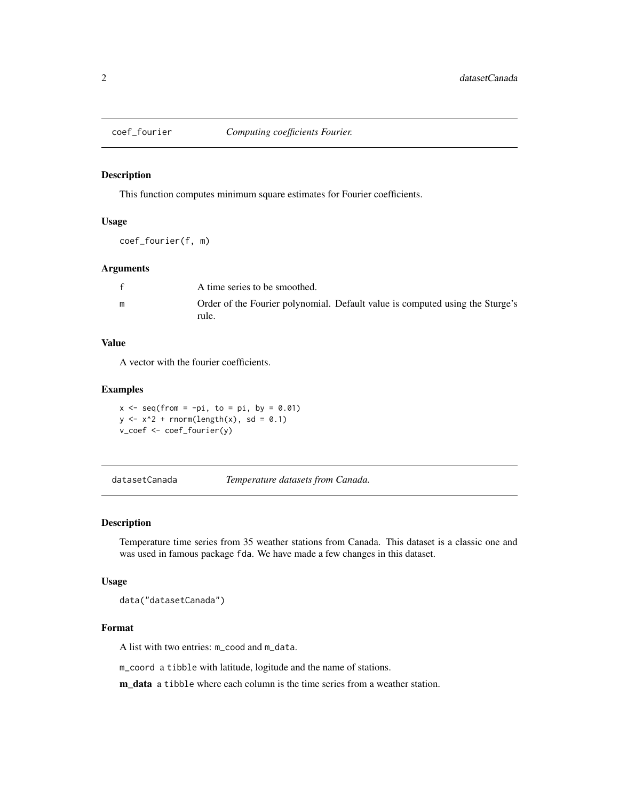<span id="page-1-0"></span>

#### Description

This function computes minimum square estimates for Fourier coefficients.

#### Usage

coef\_fourier(f, m)

#### Arguments

|   | A time series to be smoothed.                                                          |
|---|----------------------------------------------------------------------------------------|
| m | Order of the Fourier polynomial. Default value is computed using the Sturge's<br>rule. |

#### Value

A vector with the fourier coefficients.

#### Examples

 $x \leq -$  seq(from =  $-pi$ , to = pi, by = 0.01)  $y \le -x^2 + \text{norm}(\text{length}(x), \text{sd} = 0.1)$ v\_coef <- coef\_fourier(y)

datasetCanada *Temperature datasets from Canada.*

#### Description

Temperature time series from 35 weather stations from Canada. This dataset is a classic one and was used in famous package fda. We have made a few changes in this dataset.

#### Usage

data("datasetCanada")

### Format

A list with two entries: m\_cood and m\_data.

m\_coord a tibble with latitude, logitude and the name of stations.

m\_data a tibble where each column is the time series from a weather station.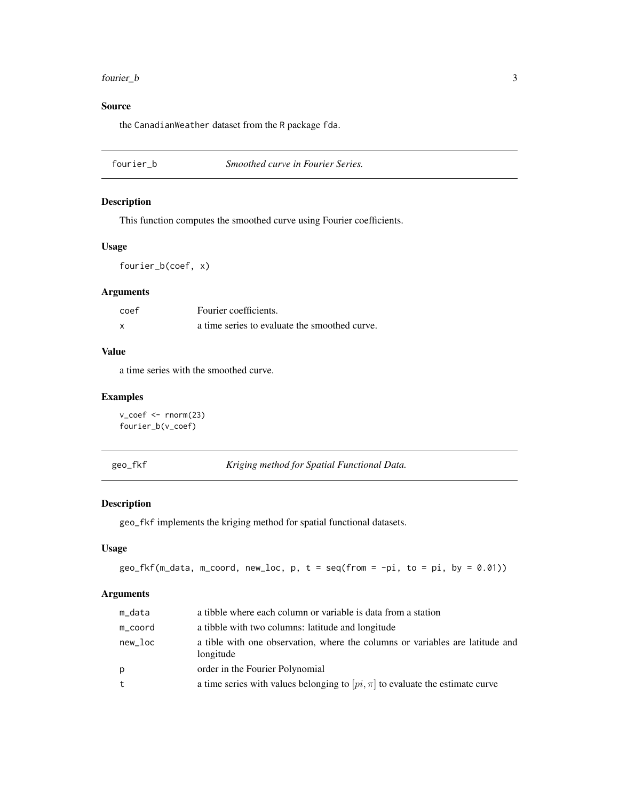#### <span id="page-2-0"></span>fourier\_b 3

#### Source

the CanadianWeather dataset from the R package fda.

#### Description

This function computes the smoothed curve using Fourier coefficients.

#### Usage

fourier\_b(coef, x)

#### Arguments

| coef | Fourier coefficients.                         |
|------|-----------------------------------------------|
| x    | a time series to evaluate the smoothed curve. |

#### Value

a time series with the smoothed curve.

#### Examples

```
v_coef <- rnorm(23)
fourier_b(v_coef)
```
geo\_fkf *Kriging method for Spatial Functional Data.*

#### Description

geo\_fkf implements the kriging method for spatial functional datasets.

#### Usage

```
geo_fkf(m_data, mcoord, newloc, p, t = seq(from = -pi, to = pi, by = 0.01))
```
#### Arguments

| m_data  | a tibble where each column or variable is data from a station                              |
|---------|--------------------------------------------------------------------------------------------|
| m_coord | a tibble with two columns: latitude and longitude                                          |
| new_loc | a tible with one observation, where the columns or variables are latitude and<br>longitude |
| p       | order in the Fourier Polynomial                                                            |
| t       | a time series with values belonging to $[pi, \pi]$ to evaluate the estimate curve          |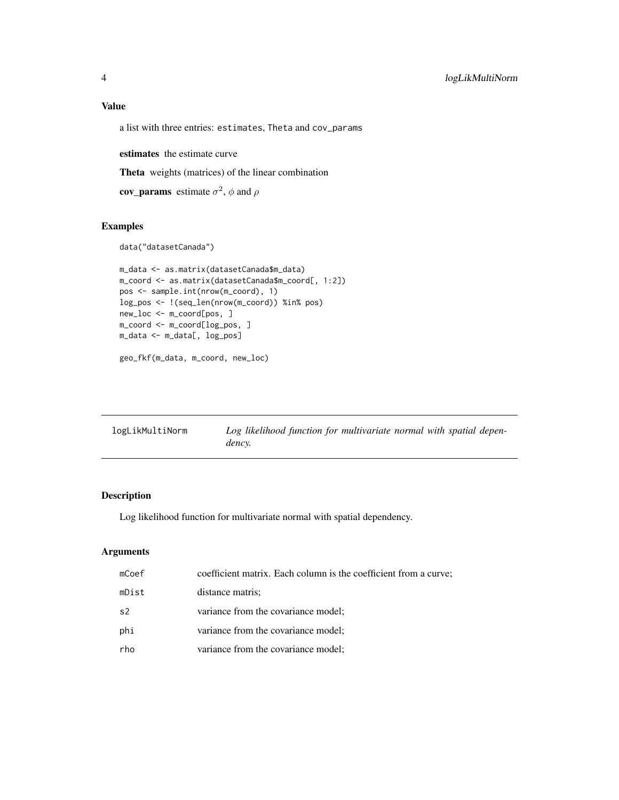## <span id="page-3-0"></span>Value

a list with three entries: estimates, Theta and cov\_params

estimates the estimate curve

Theta weights (matrices) of the linear combination

**cov\_params** estimate  $\sigma^2$ ,  $\phi$  and  $\rho$ 

#### Examples

```
data("datasetCanada")
```

```
m_data <- as.matrix(datasetCanada$m_data)
m_coord <- as.matrix(datasetCanada$m_coord[, 1:2])
pos <- sample.int(nrow(m_coord), 1)
log_pos <- !(seq_len(nrow(m_coord)) %in% pos)
new_loc <- m_coord[pos, ]
m_coord <- m_coord[log_pos, ]
m_data <- m_data[, log_pos]
geo_fkf(m_data, m_coord, new_loc)
```

| logLikMultiNorm | Log likelihood function for multivariate normal with spatial depen- |
|-----------------|---------------------------------------------------------------------|
|                 | dency.                                                              |

#### Description

Log likelihood function for multivariate normal with spatial dependency.

#### Arguments

| mCoef          | coefficient matrix. Each column is the coefficient from a curve; |
|----------------|------------------------------------------------------------------|
| mDist          | distance matris;                                                 |
| s <sub>2</sub> | variance from the covariance model;                              |
| phi            | variance from the covariance model;                              |
| rho            | variance from the covariance model;                              |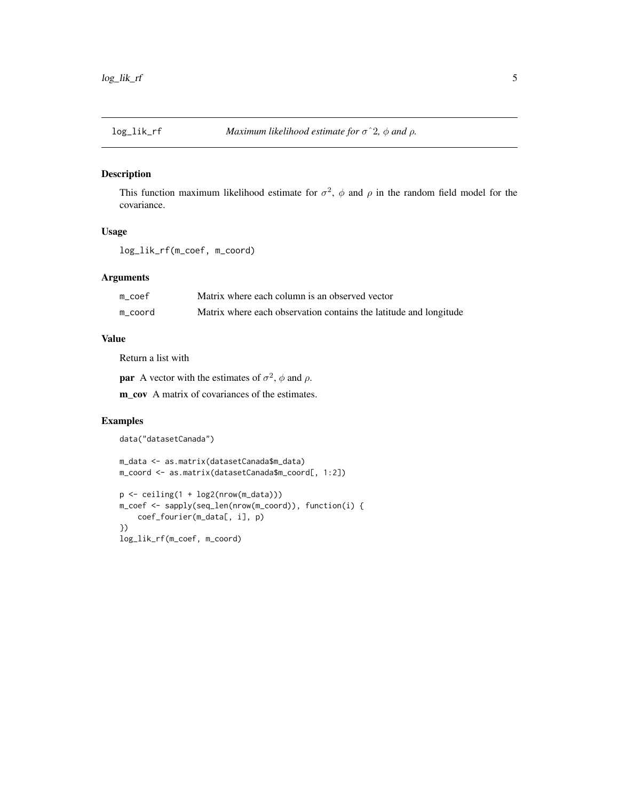<span id="page-4-0"></span>

#### Description

This function maximum likelihood estimate for  $\sigma^2$ ,  $\phi$  and  $\rho$  in the random field model for the covariance.

#### Usage

```
log_lik_rf(m_coef, m_coord)
```
#### Arguments

| m coef  | Matrix where each column is an observed vector                    |
|---------|-------------------------------------------------------------------|
| m coord | Matrix where each observation contains the latitude and longitude |

#### Value

Return a list with

**par** A vector with the estimates of  $\sigma^2$ ,  $\phi$  and  $\rho$ .

m\_cov A matrix of covariances of the estimates.

#### Examples

```
data("datasetCanada")
```

```
m_data <- as.matrix(datasetCanada$m_data)
m_coord <- as.matrix(datasetCanada$m_coord[, 1:2])
```

```
p <- ceiling(1 + log2(nrow(m_data)))
m_coef <- sapply(seq_len(nrow(m_coord)), function(i) {
    coef_fourier(m_data[, i], p)
})
log_lik_rf(m_coef, m_coord)
```